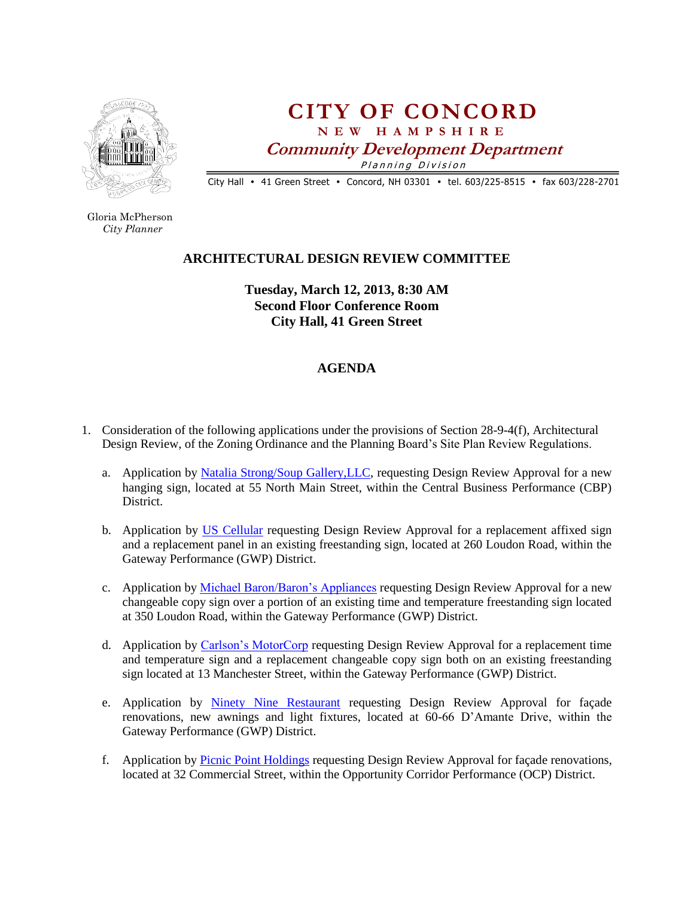

**CITY OF CONCORD N E W H A M P S H I R E Community Development Department** Planning Division

City Hall • 41 Green Street • Concord, NH 03301 • tel. 603/225-8515 • fax 603/228-2701

Gloria McPherson *City Planner*

## **ARCHITECTURAL DESIGN REVIEW COMMITTEE**

**Tuesday, March 12, 2013, 8:30 AM Second Floor Conference Room City Hall, 41 Green Street**

## **AGENDA**

- 1. Consideration of the following applications under the provisions of Section 28-9-4(f), Architectural Design Review, of the Zoning Ordinance and the Planning Board's Site Plan Review Regulations.
	- a. Application by Natalia Strong/Soup Gallery, LLC, requesting Design Review Approval for a new hanging sign, located at 55 North Main Street, within the Central Business Performance (CBP) District.
	- b. Application by [US Cellular](http://nh-concord.civicplus.com/DocumentCenter/View/2018) requesting Design Review Approval for a replacement affixed sign and a replacement panel in an existing freestanding sign, located at 260 Loudon Road, within the Gateway Performance (GWP) District.
	- c. Application by [Michael Baron/Baron's Appliances](http://nh-concord.civicplus.com/DocumentCenter/View/2011) requesting Design Review Approval for a new changeable copy sign over a portion of an existing time and temperature freestanding sign located at 350 Loudon Road, within the Gateway Performance (GWP) District.
	- d. Application by [Carlson's MotorCorp](http://nh-concord.civicplus.com/DocumentCenter/View/2012) requesting Design Review Approval for a replacement time and temperature sign and a replacement changeable copy sign both on an existing freestanding sign located at 13 Manchester Street, within the Gateway Performance (GWP) District.
	- e. Application by [Ninety Nine Restaurant](http://nh-concord.civicplus.com/DocumentCenter/View/2015) requesting Design Review Approval for façade renovations, new awnings and light fixtures, located at 60-66 D'Amante Drive, within the Gateway Performance (GWP) District.
	- f. Application by [Picnic Point Holdings](http://nh-concord.civicplus.com/DocumentCenter/View/2016) requesting Design Review Approval for façade renovations, located at 32 Commercial Street, within the Opportunity Corridor Performance (OCP) District.